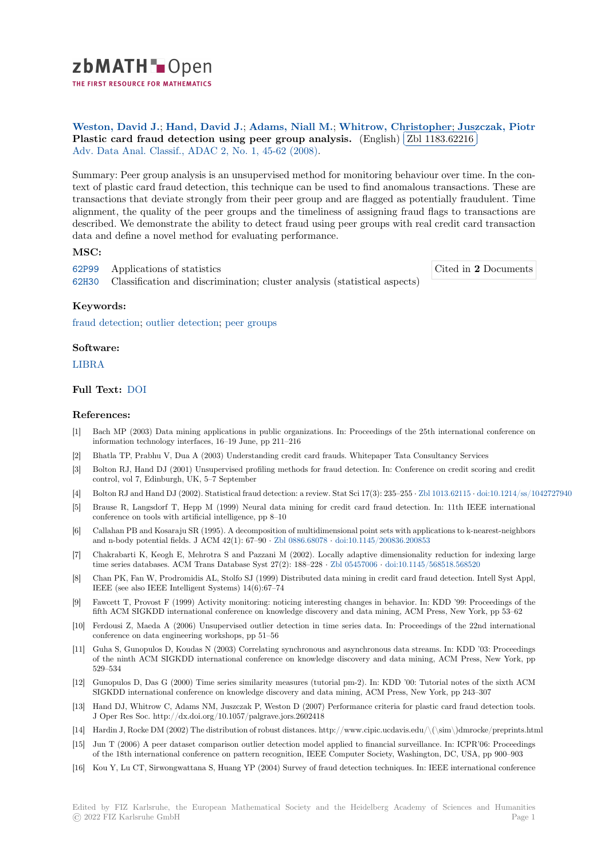

THE FIRST RESOURCE FOR MATHEMATICS

**Weston, David J.**; **Hand, David J.**; **Adams, Niall M.**; **Whitrow, Christopher**; **Juszczak, Piotr** Weston, David J.; Hand, David J.; Adams, Ivian M.; Wintrow, Chinesite card fraud detection using peer group analysis. (English) ✂ Zbl 1183.62216 Į. Adv. Data Anal. Classif., ADAC 2, No. 1, 45-62 (2008).

[Summary: Peer grou](https://zbmath.org/authors/?q=ai:weston.david-j)[p analysis is an un](https://zbmath.org/authors/?q=ai:hand.david-j)s[upervised method fo](https://zbmath.org/authors/?q=ai:adams.niall-m)[r monitoring behaviour ove](https://zbmath.org/authors/?q=ai:whitrow.christopher)[r time. In the con](https://zbmath.org/authors/?q=ai:juszczak.piotr)[text of plastic card fraud detection, this technique can be used t](https://zbmath.org/1183.62216)o find ano[malous transaction](https://zbmath.org/1183.62216)s. These are [transactions that deviate strongl](https://zbmath.org/journals/?q=se:4917)[y from their peer group](https://zbmath.org/?q=in:218878) and are flagged as potentially fraudulent. Time alignment, the quality of the peer groups and the timeliness of assigning fraud flags to transactions are described. We demonstrate the ability to detect fraud using peer groups with real credit card transaction data and define a novel method for evaluating performance.

# **MSC:**

62P99 Applications of statistics

62H30 Classification and discrimination; cluster analysis (statistical aspects)

Cited in **2** Documents

# **Keywords:**

[fraud](https://zbmath.org/classification/?q=cc:62P99) detection; outlier detection; peer groups

# **Software:**

[LIBRA](https://zbmath.org/?q=ut:fraud+detection)

# **Full Text:** DOI

## **[Refere](https://swmath.org/software/10553)nces:**

- [1] Bach MP (2003) Data mining applications in public organizations. In: Proceedings of the 25th international conference on informati[on tec](https://dx.doi.org/10.1007/s11634-008-0021-8)hnology interfaces, 16–19 June, pp 211–216
- [2] Bhatla TP, Prabhu V, Dua A (2003) Understanding credit card frauds. Whitepaper Tata Consultancy Services
- [3] Bolton RJ, Hand DJ (2001) Unsupervised profiling methods for fraud detection. In: Conference on credit scoring and credit control, vol 7, Edinburgh, UK, 5–7 September
- [4] Bolton RJ and Hand DJ (2002). Statistical fraud detection: a review. Stat Sci 17(3): 235–255 *·* Zbl 1013.62115 *·* doi:10.1214/ss/1042727940
- [5] Brause R, Langsdorf T, Hepp M (1999) Neural data mining for credit card fraud detection. In: 11th IEEE international conference on tools with artificial intelligence, pp 8–10
- [6] Callahan PB and Kosaraju SR (1995). A decomposition of multidimensional point sets with applications to k-nearest-neighbors and n-body potential fields. J ACM 42(1): 67–90 *·* Zbl 0886.68078 *·* doi:10.1145/200836.200[853](https://zbmath.org/1013.62115)
- [7] Chakrabarti K, Keogh E, Mehrotra S and Pazzani M (2002). Locally adaptive dimensionality reduction for indexing large time series databases. ACM Trans Database Syst 27(2): 188–228 *·* Zbl 05457006 *·* doi:10.1145/568518.568520
- [8] Chan PK, Fan W, Prodromidis AL, Stolfo SJ (1999) Distributed data mining in credit card fraud detection. Intell Syst Appl, IEEE (see also IEEE Intelligent Systems) 14(6):67[–74](https://zbmath.org/0886.68078)
- [9] Fawcett T, Provost F (1999) Activity monitoring: noticing interesting changes in behavior. In: KDD '99: Proceedings of the fifth ACM SIGKDD international conference on knowledge discove[ry and data m](https://zbmath.org/05457006)i[ning, ACM Press, New Yor](https://dx.doi.org/10.1145/568518.568520)k, pp 53–62
- [10] Ferdousi Z, Maeda A (2006) Unsupervised outlier detection in time series data. In: Proceedings of the 22nd international conference on data engineering workshops, pp 51–56
- [11] Guha S, Gunopulos D, Koudas N (2003) Correlating synchronous and asynchronous data streams. In: KDD '03: Proceedings of the ninth ACM SIGKDD international conference on knowledge discovery and data mining, ACM Press, New York, pp 529–534
- [12] Gunopulos D, Das G (2000) Time series similarity measures (tutorial pm-2). In: KDD '00: Tutorial notes of the sixth ACM SIGKDD international conference on knowledge discovery and data mining, ACM Press, New York, pp 243–307
- [13] Hand DJ, Whitrow C, Adams NM, Juszczak P, Weston D (2007) Performance criteria for plastic card fraud detection tools. J Oper Res Soc. http://dx.doi.org/10.1057/palgrave.jors.2602418
- [14] Hardin J, Rocke DM (2002) The distribution of robust distances. http://www.cipic.ucdavis.edu/\(\sim\)dmrocke/preprints.html
- [15] Jun T (2006) A peer dataset comparison outlier detection model applied to financial surveillance. In: ICPR'06: Proceedings of the 18th international conference on pattern recognition, IEEE Computer Society, Washington, DC, USA, pp 900–903
- [16] Kou Y, Lu CT, Sirwongwattana S, Huang YP (2004) Survey of fraud detection techniques. In: IEEE international conference